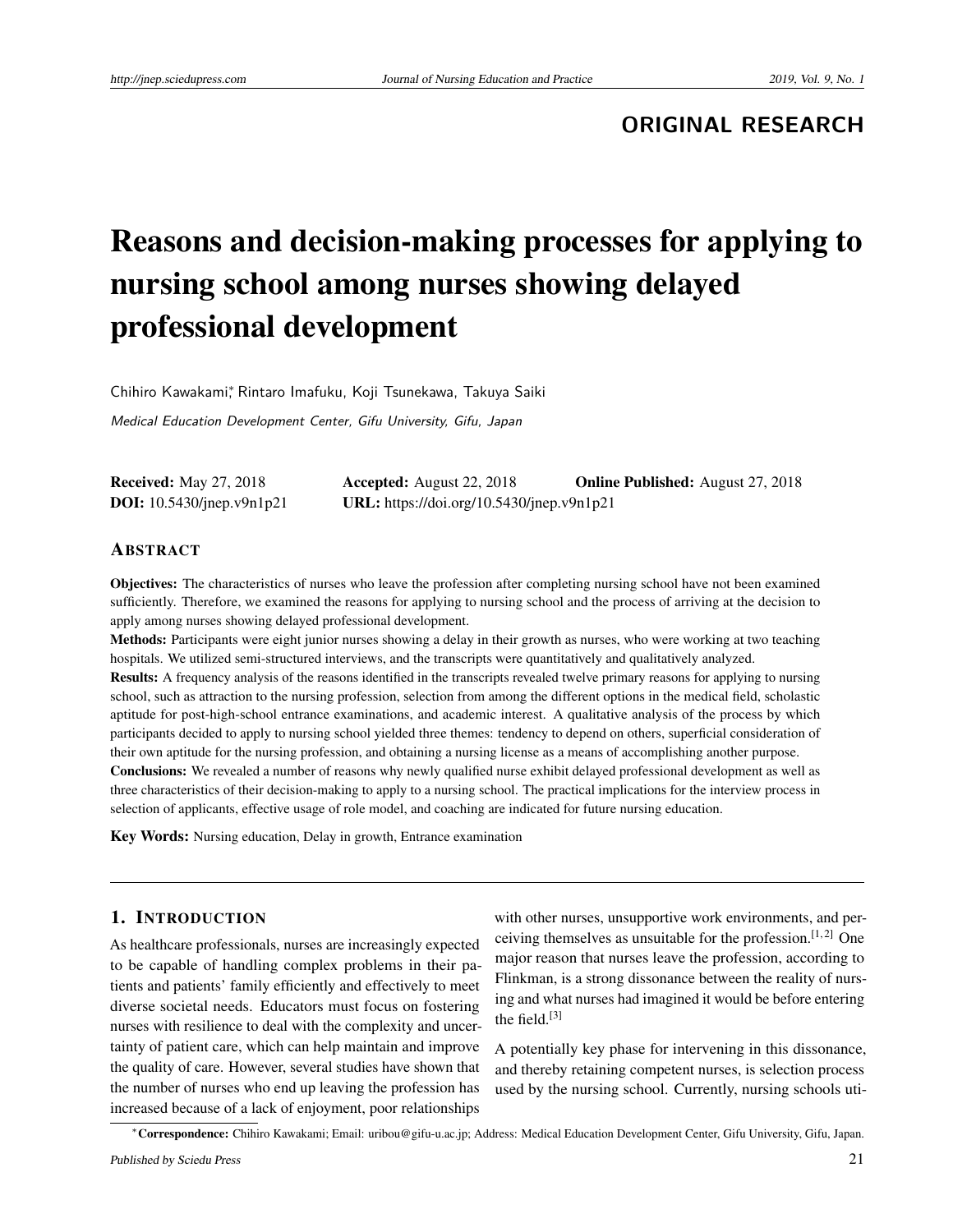**ORIGINAL RESEARCH**

# Reasons and decision-making processes for applying to nursing school among nurses showing delayed professional development

Chihiro Kawakami<sup>∗</sup> , Rintaro Imafuku, Koji Tsunekawa, Takuya Saiki

Medical Education Development Center, Gifu University, Gifu, Japan

| <b>Received:</b> May 27, 2018      | <b>Accepted:</b> August 22, 2018          | <b>Online Published:</b> August 27, 2018 |
|------------------------------------|-------------------------------------------|------------------------------------------|
| <b>DOI:</b> $10.5430/jnep.v9n1p21$ | URL: https://doi.org/10.5430/jnep.v9n1p21 |                                          |

# ABSTRACT

Objectives: The characteristics of nurses who leave the profession after completing nursing school have not been examined sufficiently. Therefore, we examined the reasons for applying to nursing school and the process of arriving at the decision to apply among nurses showing delayed professional development.

Methods: Participants were eight junior nurses showing a delay in their growth as nurses, who were working at two teaching hospitals. We utilized semi-structured interviews, and the transcripts were quantitatively and qualitatively analyzed.

Results: A frequency analysis of the reasons identified in the transcripts revealed twelve primary reasons for applying to nursing school, such as attraction to the nursing profession, selection from among the different options in the medical field, scholastic aptitude for post-high-school entrance examinations, and academic interest. A qualitative analysis of the process by which participants decided to apply to nursing school yielded three themes: tendency to depend on others, superficial consideration of their own aptitude for the nursing profession, and obtaining a nursing license as a means of accomplishing another purpose. Conclusions: We revealed a number of reasons why newly qualified nurse exhibit delayed professional development as well as three characteristics of their decision-making to apply to a nursing school. The practical implications for the interview process in selection of applicants, effective usage of role model, and coaching are indicated for future nursing education.

Key Words: Nursing education, Delay in growth, Entrance examination

# 1. INTRODUCTION

As healthcare professionals, nurses are increasingly expected to be capable of handling complex problems in their patients and patients' family efficiently and effectively to meet diverse societal needs. Educators must focus on fostering nurses with resilience to deal with the complexity and uncertainty of patient care, which can help maintain and improve the quality of care. However, several studies have shown that the number of nurses who end up leaving the profession has increased because of a lack of enjoyment, poor relationships

with other nurses, unsupportive work environments, and perceiving themselves as unsuitable for the profession.[\[1,](#page-4-0) [2\]](#page-4-1) One major reason that nurses leave the profession, according to Flinkman, is a strong dissonance between the reality of nursing and what nurses had imagined it would be before entering the field. $[3]$ 

A potentially key phase for intervening in this dissonance, and thereby retaining competent nurses, is selection process used by the nursing school. Currently, nursing schools uti-

<sup>∗</sup>Correspondence: Chihiro Kawakami; Email: uribou@gifu-u.ac.jp; Address: Medical Education Development Center, Gifu University, Gifu, Japan.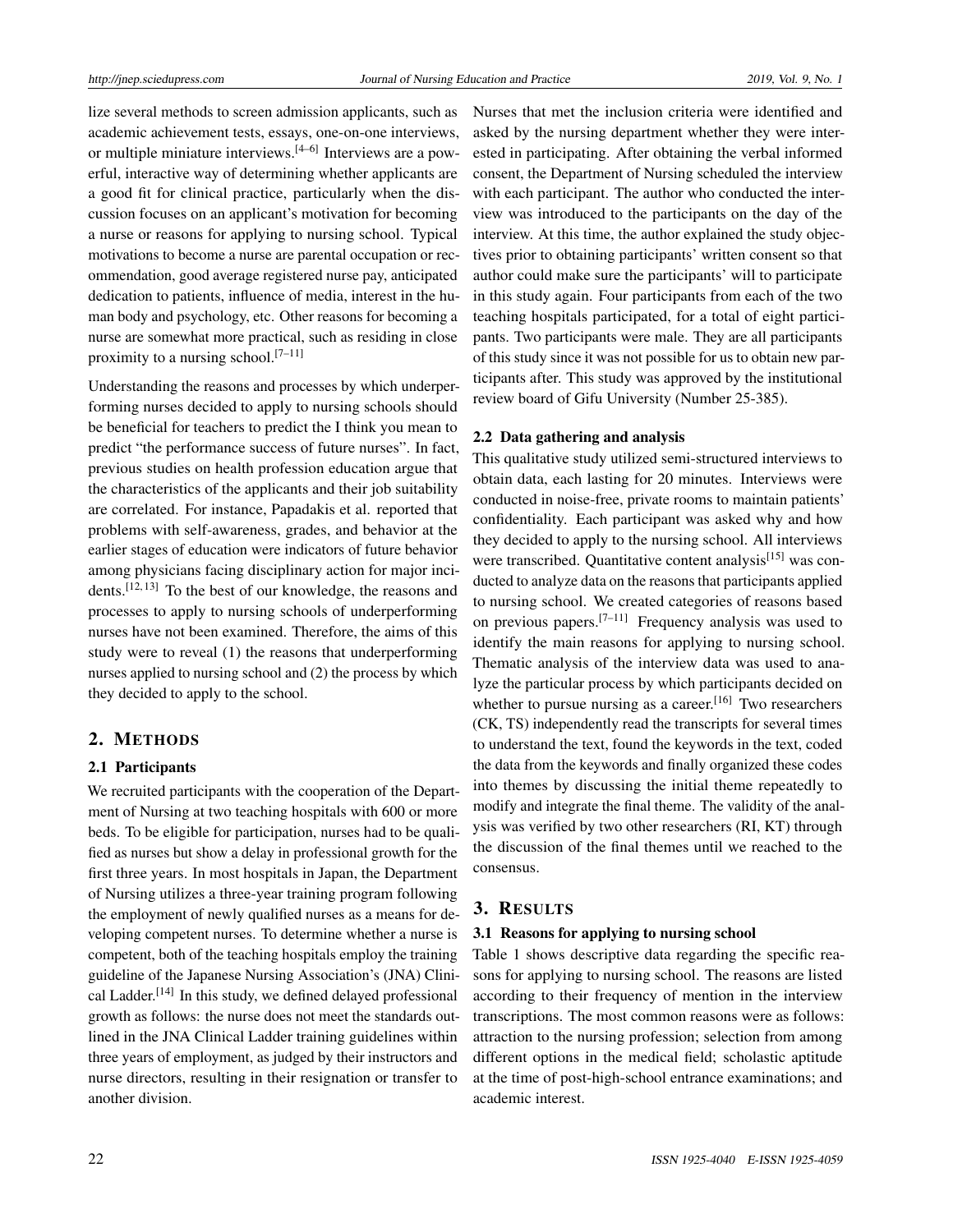lize several methods to screen admission applicants, such as academic achievement tests, essays, one-on-one interviews, or multiple miniature interviews.<sup>[\[4](#page-5-0)-6]</sup> Interviews are a powerful, interactive way of determining whether applicants are a good fit for clinical practice, particularly when the discussion focuses on an applicant's motivation for becoming a nurse or reasons for applying to nursing school. Typical motivations to become a nurse are parental occupation or recommendation, good average registered nurse pay, anticipated dedication to patients, influence of media, interest in the human body and psychology, etc. Other reasons for becoming a nurse are somewhat more practical, such as residing in close proximity to a nursing school.[\[7](#page-5-2)[–11\]](#page-5-3)

Understanding the reasons and processes by which underperforming nurses decided to apply to nursing schools should be beneficial for teachers to predict the I think you mean to predict "the performance success of future nurses". In fact, previous studies on health profession education argue that the characteristics of the applicants and their job suitability are correlated. For instance, Papadakis et al. reported that problems with self-awareness, grades, and behavior at the earlier stages of education were indicators of future behavior among physicians facing disciplinary action for major incidents.[\[12,](#page-5-4) [13\]](#page-5-5) To the best of our knowledge, the reasons and processes to apply to nursing schools of underperforming nurses have not been examined. Therefore, the aims of this study were to reveal (1) the reasons that underperforming nurses applied to nursing school and (2) the process by which they decided to apply to the school.

# 2. METHODS

# 2.1 Participants

We recruited participants with the cooperation of the Department of Nursing at two teaching hospitals with 600 or more beds. To be eligible for participation, nurses had to be qualified as nurses but show a delay in professional growth for the first three years. In most hospitals in Japan, the Department of Nursing utilizes a three-year training program following the employment of newly qualified nurses as a means for developing competent nurses. To determine whether a nurse is competent, both of the teaching hospitals employ the training guideline of the Japanese Nursing Association's (JNA) Clini-cal Ladder.<sup>[\[14\]](#page-5-6)</sup> In this study, we defined delayed professional growth as follows: the nurse does not meet the standards outlined in the JNA Clinical Ladder training guidelines within three years of employment, as judged by their instructors and nurse directors, resulting in their resignation or transfer to another division.

Nurses that met the inclusion criteria were identified and asked by the nursing department whether they were interested in participating. After obtaining the verbal informed consent, the Department of Nursing scheduled the interview with each participant. The author who conducted the interview was introduced to the participants on the day of the interview. At this time, the author explained the study objectives prior to obtaining participants' written consent so that author could make sure the participants' will to participate in this study again. Four participants from each of the two teaching hospitals participated, for a total of eight participants. Two participants were male. They are all participants of this study since it was not possible for us to obtain new participants after. This study was approved by the institutional review board of Gifu University (Number 25-385).

# 2.2 Data gathering and analysis

This qualitative study utilized semi-structured interviews to obtain data, each lasting for 20 minutes. Interviews were conducted in noise-free, private rooms to maintain patients' confidentiality. Each participant was asked why and how they decided to apply to the nursing school. All interviews were transcribed. Quantitative content analysis<sup>[\[15\]](#page-5-7)</sup> was conducted to analyze data on the reasons that participants applied to nursing school. We created categories of reasons based on previous papers.<sup>[\[7–](#page-5-2)[11\]](#page-5-3)</sup> Frequency analysis was used to identify the main reasons for applying to nursing school. Thematic analysis of the interview data was used to analyze the particular process by which participants decided on whether to pursue nursing as a career.<sup>[\[16\]](#page-5-8)</sup> Two researchers (CK, TS) independently read the transcripts for several times to understand the text, found the keywords in the text, coded the data from the keywords and finally organized these codes into themes by discussing the initial theme repeatedly to modify and integrate the final theme. The validity of the analysis was verified by two other researchers (RI, KT) through the discussion of the final themes until we reached to the consensus.

# 3. RESULTS

## 3.1 Reasons for applying to nursing school

Table 1 shows descriptive data regarding the specific reasons for applying to nursing school. The reasons are listed according to their frequency of mention in the interview transcriptions. The most common reasons were as follows: attraction to the nursing profession; selection from among different options in the medical field; scholastic aptitude at the time of post-high-school entrance examinations; and academic interest.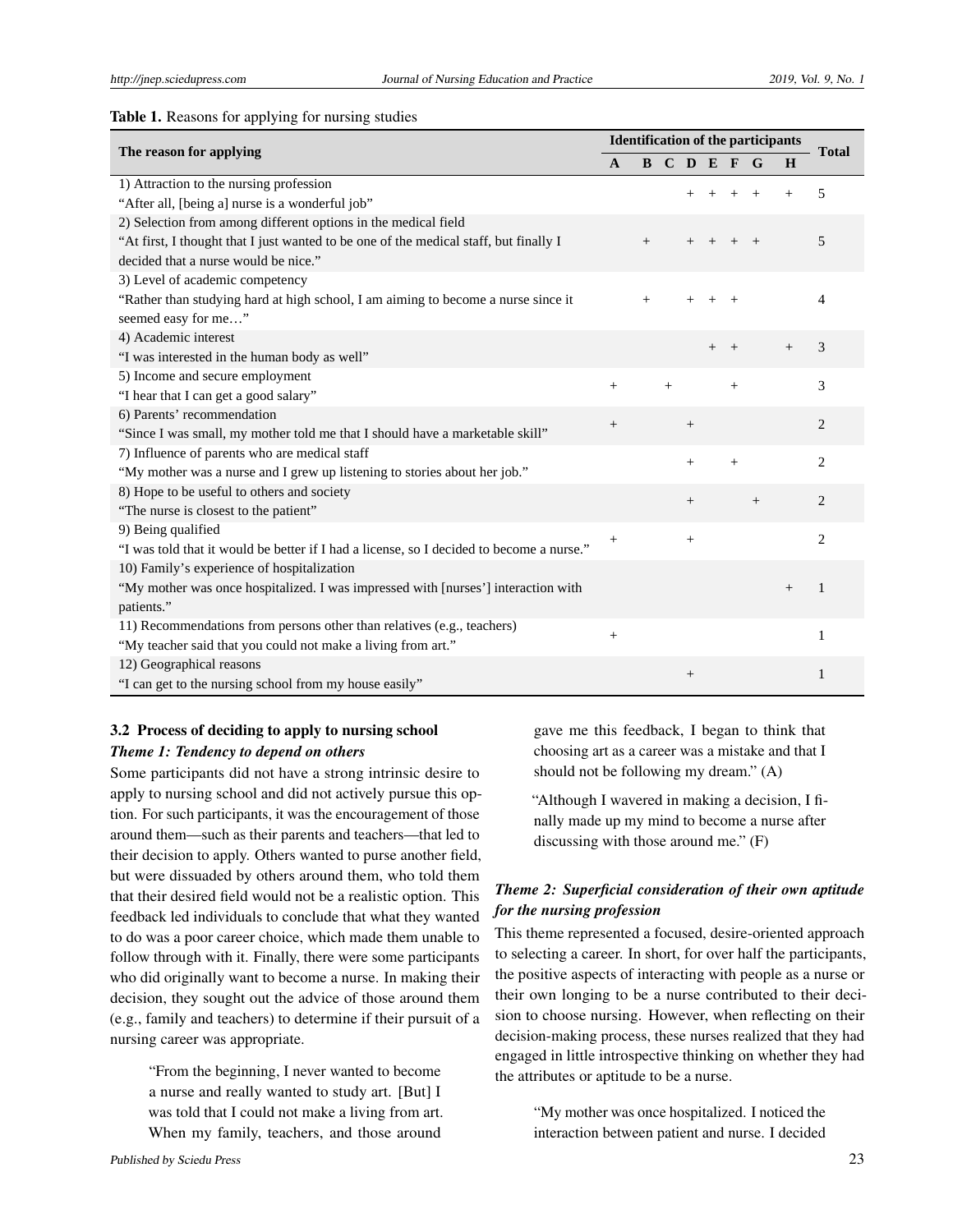### Table 1. Reasons for applying for nursing studies

| The reason for applying                                                                  |        | <b>Identification of the participants</b> |                  |                   |        |        |                 |        |                |  |
|------------------------------------------------------------------------------------------|--------|-------------------------------------------|------------------|-------------------|--------|--------|-----------------|--------|----------------|--|
|                                                                                          |        |                                           | <b>B</b> C D E F |                   |        |        | G               | H      | <b>Total</b>   |  |
| 1) Attraction to the nursing profession                                                  |        |                                           |                  |                   |        |        | $+$             | $^{+}$ | 5              |  |
| "After all, [being a] nurse is a wonderful job"                                          |        |                                           |                  | $^{+}$            | $^{+}$ | $^{+}$ |                 |        |                |  |
| 2) Selection from among different options in the medical field                           |        |                                           |                  |                   |        |        |                 |        |                |  |
| "At first, I thought that I just wanted to be one of the medical staff, but finally I    |        | $^{+}$                                    |                  | $^{+}$            | $^{+}$ | $^{+}$ | $+$             |        | 5              |  |
| decided that a nurse would be nice."                                                     |        |                                           |                  |                   |        |        |                 |        |                |  |
| 3) Level of academic competency                                                          |        |                                           |                  |                   |        |        |                 |        |                |  |
| "Rather than studying hard at high school, I am aiming to become a nurse since it        |        | $+$                                       |                  | $+$               | $+$    | $+$    |                 |        | $\overline{4}$ |  |
| seemed easy for me"                                                                      |        |                                           |                  |                   |        |        |                 |        |                |  |
| 4) Academic interest                                                                     |        |                                           |                  |                   |        |        |                 | $+$    | 3              |  |
| "I was interested in the human body as well"                                             |        |                                           |                  |                   | $^{+}$ | $^{+}$ |                 |        |                |  |
| 5) Income and secure employment                                                          | $^{+}$ |                                           |                  |                   |        |        |                 |        | 3              |  |
| "I hear that I can get a good salary"                                                    |        |                                           | $^{+}$           |                   |        | $^{+}$ |                 |        |                |  |
| 6) Parents' recommendation                                                               |        |                                           |                  |                   |        |        |                 |        | $\overline{2}$ |  |
| "Since I was small, my mother told me that I should have a marketable skill"             | $^{+}$ |                                           |                  | $\qquad \qquad +$ |        |        |                 |        |                |  |
| 7) Influence of parents who are medical staff                                            |        |                                           |                  | $+$               |        | $^{+}$ |                 |        | $\overline{2}$ |  |
| "My mother was a nurse and I grew up listening to stories about her job."                |        |                                           |                  |                   |        |        |                 |        |                |  |
| 8) Hope to be useful to others and society                                               |        |                                           |                  | $\qquad \qquad +$ |        |        |                 |        | 2              |  |
| "The nurse is closest to the patient"                                                    |        |                                           |                  |                   |        |        | $\! + \!\!\!\!$ |        |                |  |
| 9) Being qualified                                                                       |        |                                           |                  | $+$               |        |        |                 |        | $\overline{c}$ |  |
| "I was told that it would be better if I had a license, so I decided to become a nurse." |        |                                           |                  |                   |        |        |                 |        |                |  |
| 10) Family's experience of hospitalization                                               |        |                                           |                  |                   |        |        |                 |        |                |  |
| "My mother was once hospitalized. I was impressed with [nurses'] interaction with        |        |                                           |                  |                   |        |        |                 | $+$    | $\overline{1}$ |  |
| patients."                                                                               |        |                                           |                  |                   |        |        |                 |        |                |  |
| 11) Recommendations from persons other than relatives (e.g., teachers)                   | $^{+}$ |                                           |                  |                   |        |        |                 |        | 1              |  |
| "My teacher said that you could not make a living from art."                             |        |                                           |                  |                   |        |        |                 |        |                |  |
| 12) Geographical reasons                                                                 |        |                                           |                  | $\! + \!\!\!\!$   |        |        |                 |        | 1              |  |
| "I can get to the nursing school from my house easily"                                   |        |                                           |                  |                   |        |        |                 |        |                |  |

# 3.2 Process of deciding to apply to nursing school

# *Theme 1: Tendency to depend on others*

Some participants did not have a strong intrinsic desire to apply to nursing school and did not actively pursue this option. For such participants, it was the encouragement of those around them—such as their parents and teachers—that led to their decision to apply. Others wanted to purse another field, but were dissuaded by others around them, who told them that their desired field would not be a realistic option. This feedback led individuals to conclude that what they wanted to do was a poor career choice, which made them unable to follow through with it. Finally, there were some participants who did originally want to become a nurse. In making their decision, they sought out the advice of those around them (e.g., family and teachers) to determine if their pursuit of a nursing career was appropriate.

> "From the beginning, I never wanted to become a nurse and really wanted to study art. [But] I was told that I could not make a living from art. When my family, teachers, and those around

gave me this feedback, I began to think that choosing art as a career was a mistake and that I should not be following my dream." (A)

"Although I wavered in making a decision, I finally made up my mind to become a nurse after discussing with those around me." (F)

# *Theme 2: Superficial consideration of their own aptitude for the nursing profession*

This theme represented a focused, desire-oriented approach to selecting a career. In short, for over half the participants, the positive aspects of interacting with people as a nurse or their own longing to be a nurse contributed to their decision to choose nursing. However, when reflecting on their decision-making process, these nurses realized that they had engaged in little introspective thinking on whether they had the attributes or aptitude to be a nurse.

> "My mother was once hospitalized. I noticed the interaction between patient and nurse. I decided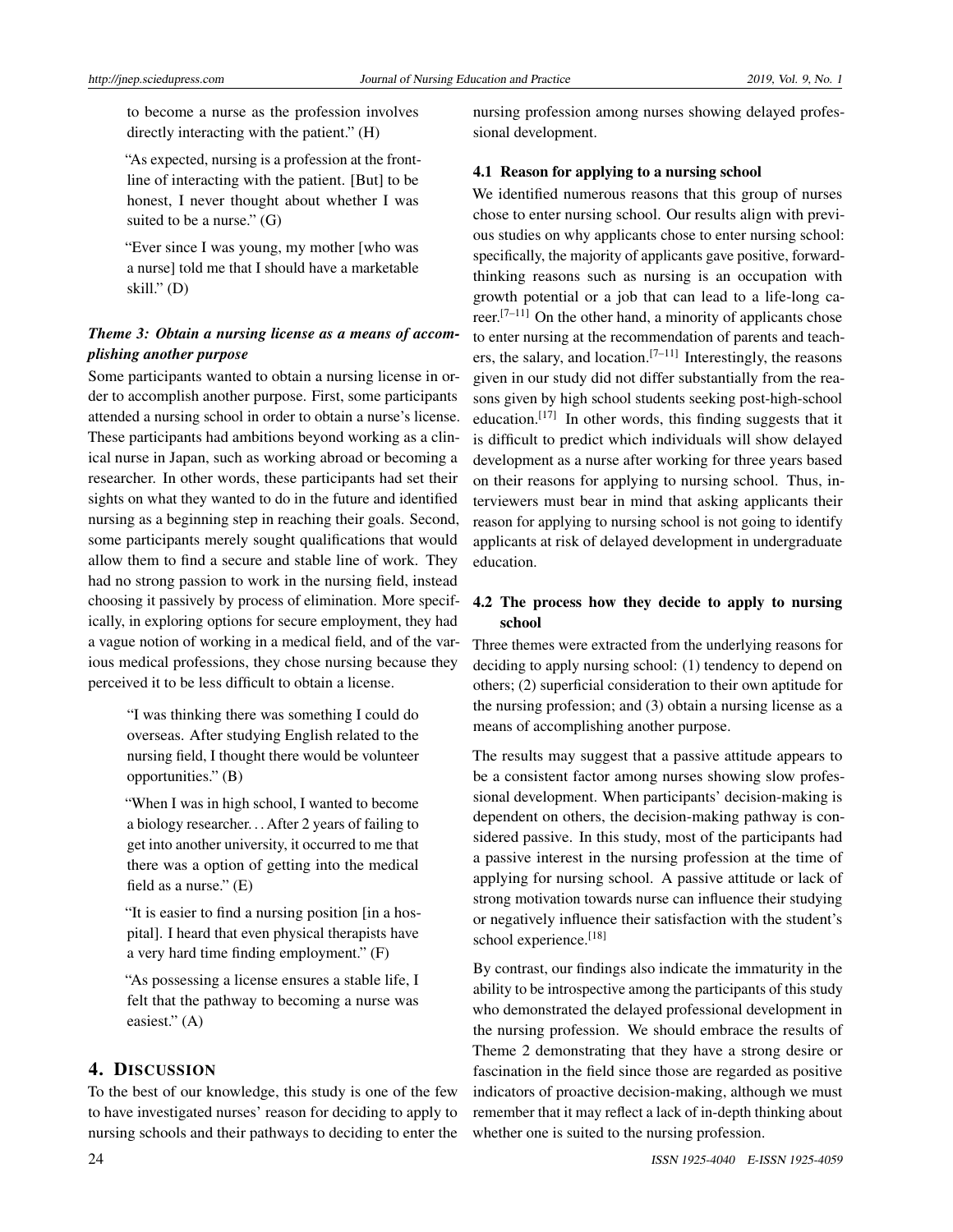to become a nurse as the profession involves directly interacting with the patient." (H)

"As expected, nursing is a profession at the frontline of interacting with the patient. [But] to be honest, I never thought about whether I was suited to be a nurse." (G)

"Ever since I was young, my mother [who was a nurse] told me that I should have a marketable skill." (D)

# *Theme 3: Obtain a nursing license as a means of accomplishing another purpose*

Some participants wanted to obtain a nursing license in order to accomplish another purpose. First, some participants attended a nursing school in order to obtain a nurse's license. These participants had ambitions beyond working as a clinical nurse in Japan, such as working abroad or becoming a researcher. In other words, these participants had set their sights on what they wanted to do in the future and identified nursing as a beginning step in reaching their goals. Second, some participants merely sought qualifications that would allow them to find a secure and stable line of work. They had no strong passion to work in the nursing field, instead choosing it passively by process of elimination. More specifically, in exploring options for secure employment, they had a vague notion of working in a medical field, and of the various medical professions, they chose nursing because they perceived it to be less difficult to obtain a license.

> "I was thinking there was something I could do overseas. After studying English related to the nursing field, I thought there would be volunteer opportunities." (B)

> "When I was in high school, I wanted to become a biology researcher. . . After 2 years of failing to get into another university, it occurred to me that there was a option of getting into the medical field as a nurse." (E)

> "It is easier to find a nursing position [in a hospital]. I heard that even physical therapists have a very hard time finding employment." (F)

> "As possessing a license ensures a stable life, I felt that the pathway to becoming a nurse was easiest." (A)

# 4. DISCUSSION

To the best of our knowledge, this study is one of the few to have investigated nurses' reason for deciding to apply to nursing schools and their pathways to deciding to enter the nursing profession among nurses showing delayed professional development.

# 4.1 Reason for applying to a nursing school

We identified numerous reasons that this group of nurses chose to enter nursing school. Our results align with previous studies on why applicants chose to enter nursing school: specifically, the majority of applicants gave positive, forwardthinking reasons such as nursing is an occupation with growth potential or a job that can lead to a life-long ca-reer.<sup>[\[7](#page-5-2)[–11\]](#page-5-3)</sup> On the other hand, a minority of applicants chose to enter nursing at the recommendation of parents and teach-ers, the salary, and location.<sup>[\[7](#page-5-2)-11]</sup> Interestingly, the reasons given in our study did not differ substantially from the reasons given by high school students seeking post-high-school education.<sup>[\[17\]](#page-5-9)</sup> In other words, this finding suggests that it is difficult to predict which individuals will show delayed development as a nurse after working for three years based on their reasons for applying to nursing school. Thus, interviewers must bear in mind that asking applicants their reason for applying to nursing school is not going to identify applicants at risk of delayed development in undergraduate education.

# 4.2 The process how they decide to apply to nursing school

Three themes were extracted from the underlying reasons for deciding to apply nursing school: (1) tendency to depend on others; (2) superficial consideration to their own aptitude for the nursing profession; and (3) obtain a nursing license as a means of accomplishing another purpose.

The results may suggest that a passive attitude appears to be a consistent factor among nurses showing slow professional development. When participants' decision-making is dependent on others, the decision-making pathway is considered passive. In this study, most of the participants had a passive interest in the nursing profession at the time of applying for nursing school. A passive attitude or lack of strong motivation towards nurse can influence their studying or negatively influence their satisfaction with the student's school experience.[\[18\]](#page-5-10)

By contrast, our findings also indicate the immaturity in the ability to be introspective among the participants of this study who demonstrated the delayed professional development in the nursing profession. We should embrace the results of Theme 2 demonstrating that they have a strong desire or fascination in the field since those are regarded as positive indicators of proactive decision-making, although we must remember that it may reflect a lack of in-depth thinking about whether one is suited to the nursing profession.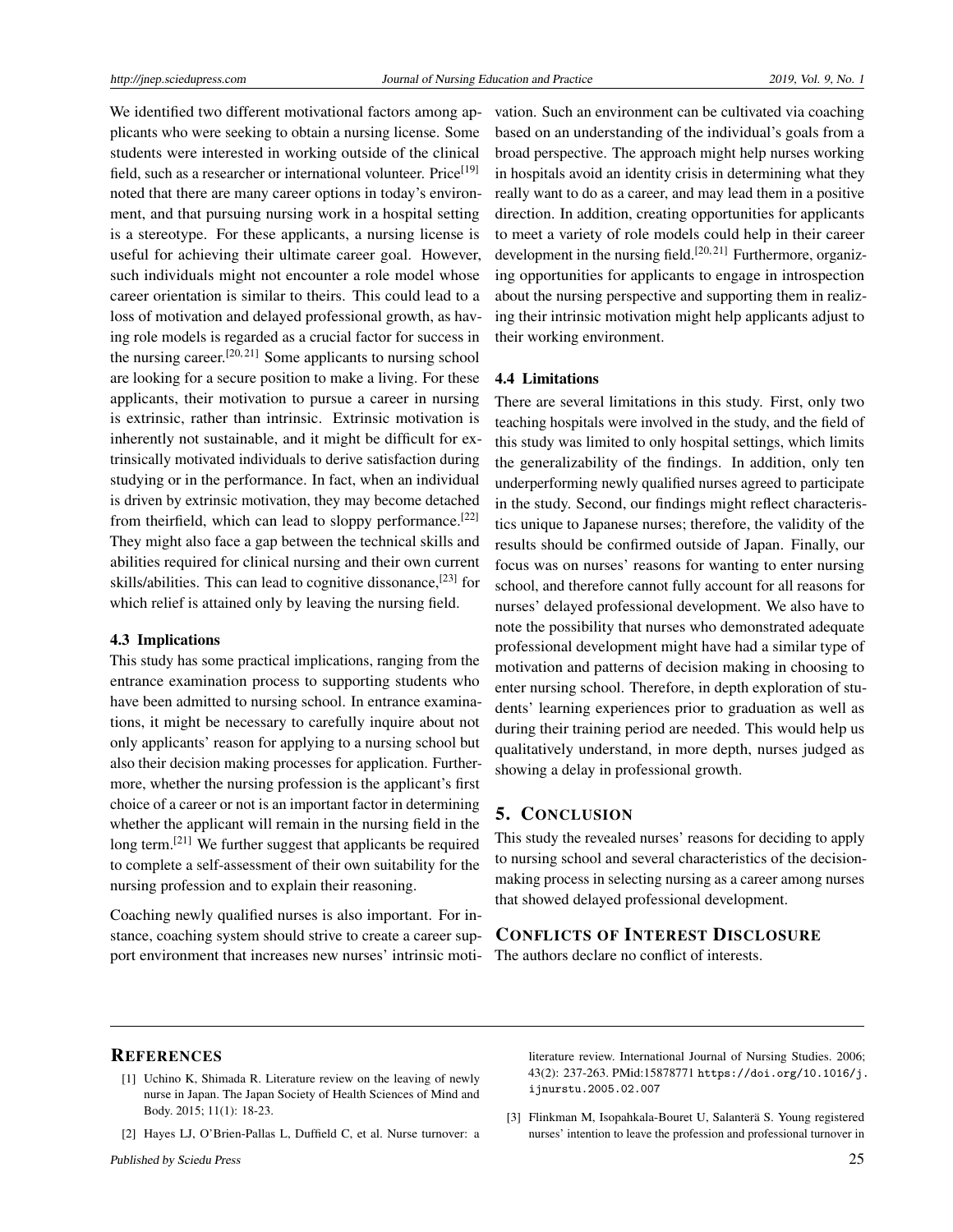We identified two different motivational factors among applicants who were seeking to obtain a nursing license. Some students were interested in working outside of the clinical field, such as a researcher or international volunteer. Price<sup>[\[19\]](#page-5-11)</sup> noted that there are many career options in today's environment, and that pursuing nursing work in a hospital setting is a stereotype. For these applicants, a nursing license is useful for achieving their ultimate career goal. However, such individuals might not encounter a role model whose career orientation is similar to theirs. This could lead to a loss of motivation and delayed professional growth, as having role models is regarded as a crucial factor for success in the nursing career.<sup>[\[20,](#page-5-12) [21\]](#page-5-13)</sup> Some applicants to nursing school are looking for a secure position to make a living. For these applicants, their motivation to pursue a career in nursing is extrinsic, rather than intrinsic. Extrinsic motivation is inherently not sustainable, and it might be difficult for extrinsically motivated individuals to derive satisfaction during studying or in the performance. In fact, when an individual is driven by extrinsic motivation, they may become detached from theirfield, which can lead to sloppy performance.<sup>[\[22\]](#page-5-14)</sup> They might also face a gap between the technical skills and abilities required for clinical nursing and their own current skills/abilities. This can lead to cognitive dissonance,<sup>[\[23\]](#page-5-15)</sup> for which relief is attained only by leaving the nursing field.

### 4.3 Implications

This study has some practical implications, ranging from the entrance examination process to supporting students who have been admitted to nursing school. In entrance examinations, it might be necessary to carefully inquire about not only applicants' reason for applying to a nursing school but also their decision making processes for application. Furthermore, whether the nursing profession is the applicant's first choice of a career or not is an important factor in determining whether the applicant will remain in the nursing field in the long term.<sup>[\[21\]](#page-5-13)</sup> We further suggest that applicants be required to complete a self-assessment of their own suitability for the nursing profession and to explain their reasoning.

Coaching newly qualified nurses is also important. For instance, coaching system should strive to create a career support environment that increases new nurses' intrinsic motivation. Such an environment can be cultivated via coaching based on an understanding of the individual's goals from a broad perspective. The approach might help nurses working in hospitals avoid an identity crisis in determining what they really want to do as a career, and may lead them in a positive direction. In addition, creating opportunities for applicants to meet a variety of role models could help in their career development in the nursing field.<sup>[\[20,](#page-5-12) [21\]](#page-5-13)</sup> Furthermore, organizing opportunities for applicants to engage in introspection about the nursing perspective and supporting them in realizing their intrinsic motivation might help applicants adjust to their working environment.

# 4.4 Limitations

There are several limitations in this study. First, only two teaching hospitals were involved in the study, and the field of this study was limited to only hospital settings, which limits the generalizability of the findings. In addition, only ten underperforming newly qualified nurses agreed to participate in the study. Second, our findings might reflect characteristics unique to Japanese nurses; therefore, the validity of the results should be confirmed outside of Japan. Finally, our focus was on nurses' reasons for wanting to enter nursing school, and therefore cannot fully account for all reasons for nurses' delayed professional development. We also have to note the possibility that nurses who demonstrated adequate professional development might have had a similar type of motivation and patterns of decision making in choosing to enter nursing school. Therefore, in depth exploration of students' learning experiences prior to graduation as well as during their training period are needed. This would help us qualitatively understand, in more depth, nurses judged as showing a delay in professional growth.

# 5. CONCLUSION

This study the revealed nurses' reasons for deciding to apply to nursing school and several characteristics of the decisionmaking process in selecting nursing as a career among nurses that showed delayed professional development.

# CONFLICTS OF INTEREST DISCLOSURE

The authors declare no conflict of interests.

# **REFERENCES**

- <span id="page-4-0"></span>[1] Uchino K, Shimada R. Literature review on the leaving of newly nurse in Japan. The Japan Society of Health Sciences of Mind and Body. 2015; 11(1): 18-23.
- <span id="page-4-1"></span>[2] Hayes LJ, O'Brien-Pallas L, Duffield C, et al. Nurse turnover: a

literature review. International Journal of Nursing Studies. 2006; 43(2): 237-263. PMid:15878771 [https://doi.org/10.1016/j.](https://doi.org/10.1016/j.ijnurstu.2005.02.007) [ijnurstu.2005.02.007](https://doi.org/10.1016/j.ijnurstu.2005.02.007)

<span id="page-4-2"></span>[3] Flinkman M, Isopahkala-Bouret U, Salanterä S. Young registered nurses' intention to leave the profession and professional turnover in